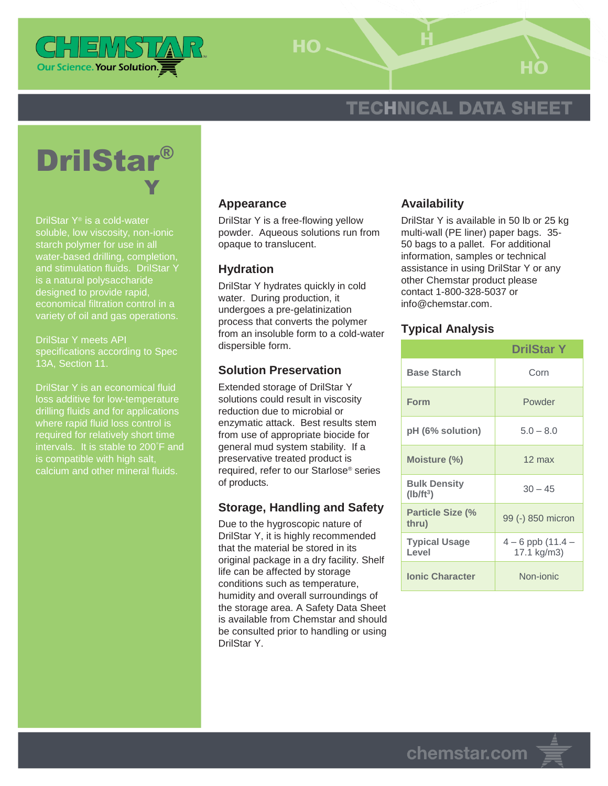

HO-

# **TECHNICAL DATA SHEET**



DrilStar Y® is a cold-water soluble, low viscosity, non-ionic starch polymer for use in all water-based drilling, completion, and stimulation fluids. DrilStar Y is a natural polysaccharide designed to provide rapid, economical filtration control in a variety of oil and gas operations.

DrilStar Y meets API specifications according to Spec 13A, Section 11.

DrilStar Y is an economical fluid loss additive for low-temperature drilling fluids and for applications where rapid fluid loss control is required for relatively short time intervals. It is stable to 200°F and is compatible with high salt, calcium and other mineral fluids.

## **Appearance**

DrilStar Y is a free-flowing yellow powder. Aqueous solutions run from opaque to translucent.

## **Hydration**

DrilStar Y hydrates quickly in cold water. During production, it undergoes a pre-gelatinization process that converts the polymer from an insoluble form to a cold-water dispersible form.

## **Solution Preservation**

Extended storage of DrilStar Y solutions could result in viscosity reduction due to microbial or enzymatic attack. Best results stem from use of appropriate biocide for general mud system stability. If a preservative treated product is required, refer to our Starlose® series of products.

## **Storage, Handling and Safety**

Due to the hygroscopic nature of DrilStar Y, it is highly recommended that the material be stored in its original package in a dry facility. Shelf life can be affected by storage conditions such as temperature, humidity and overall surroundings of the storage area. A Safety Data Sheet is available from Chemstar and should be consulted prior to handling or using DrilStar Y.

## **Availability**

DrilStar Y is available in 50 lb or 25 kg multi-wall (PE liner) paper bags. 35- 50 bags to a pallet. For additional information, samples or technical assistance in using DrilStar Y or any other Chemstar product please contact 1-800-328-5037 or info@chemstar.com.

#### **Typical Analysis**

|                                    | <b>DrilStar Y</b>                    |
|------------------------------------|--------------------------------------|
| <b>Base Starch</b>                 | Corn                                 |
| Form                               | Powder                               |
| pH (6% solution)                   | $5.0 - 8.0$                          |
| Moisture (%)                       | $12 \text{ max}$                     |
| <b>Bulk Density</b><br>$(lb/ft^3)$ | $30 - 45$                            |
| <b>Particle Size (%</b><br>thru)   | 99 (-) 850 micron                    |
| <b>Typical Usage</b><br>Level      | $4 - 6$ ppb $(11.4 -$<br>17.1 kg/m3) |
| <b>Ionic Character</b>             | Non-ionic                            |